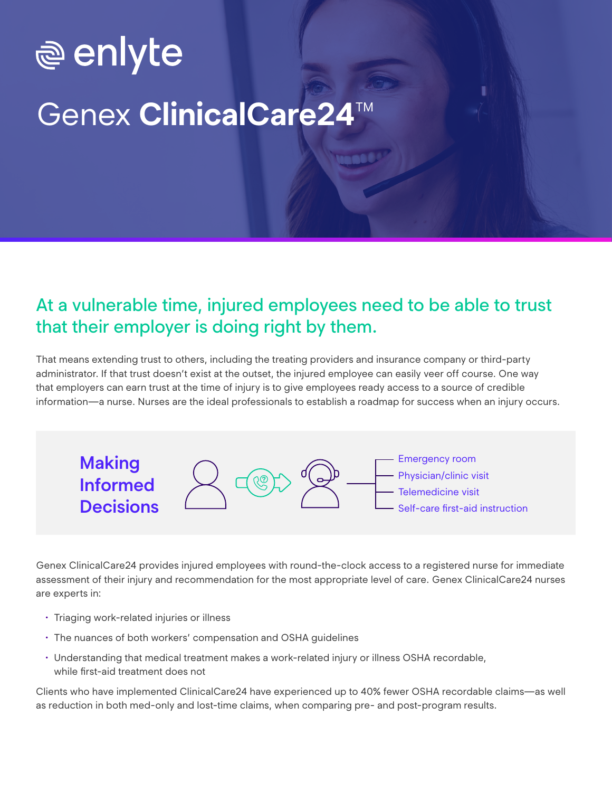# **<u>ම</u> enlyte Genex ClinicalCare24**

#### At a vulnerable time, injured employees need to be able to trust that their employer is doing right by them.

That means extending trust to others, including the treating providers and insurance company or third-party administrator. If that trust doesn't exist at the outset, the injured employee can easily veer off course. One way that employers can earn trust at the time of injury is to give employees ready access to a source of credible information—a nurse. Nurses are the ideal professionals to establish a roadmap for success when an injury occurs.



Genex ClinicalCare24 provides injured employees with round-the-clock access to a registered nurse for immediate assessment of their injury and recommendation for the most appropriate level of care. Genex ClinicalCare24 nurses are experts in:

- Triaging work-related injuries or illness
- The nuances of both workers' compensation and OSHA guidelines
- Understanding that medical treatment makes a work-related injury or illness OSHA recordable, while first-aid treatment does not

Clients who have implemented ClinicalCare24 have experienced up to 40% fewer OSHA recordable claims—as well as reduction in both med-only and lost-time claims, when comparing pre- and post-program results.